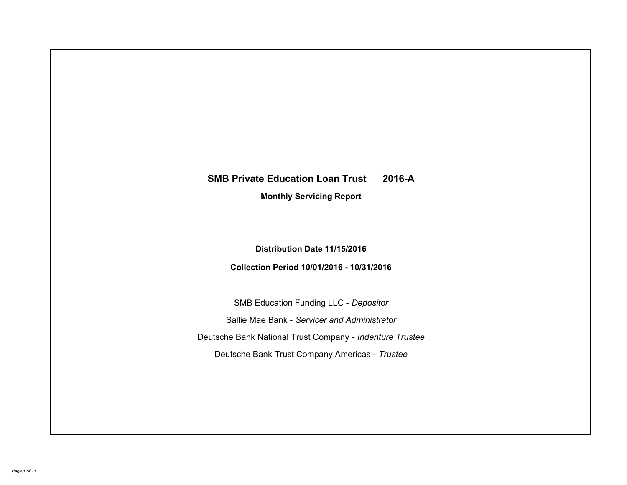# **SMB Private Education Loan Trust 2016-A Monthly Servicing Report**

# **Distribution Date 11/15/2016**

# **Collection Period 10/01/2016 - 10/31/2016**

SMB Education Funding LLC - *Depositor* Sallie Mae Bank - *Servicer and Administrator* Deutsche Bank National Trust Company - *Indenture Trustee* Deutsche Bank Trust Company Americas - *Trustee*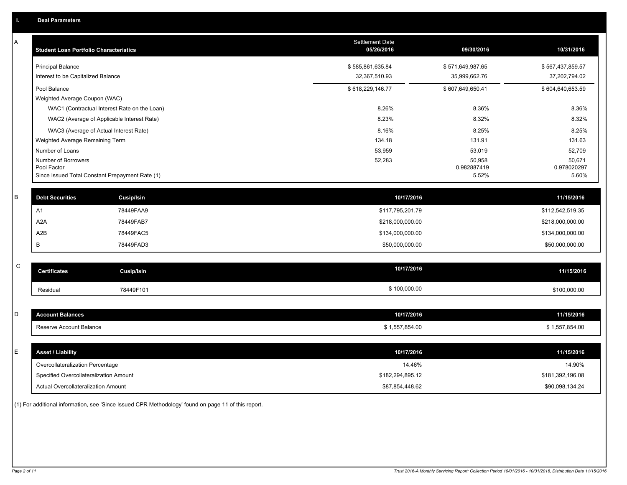| Α           | <b>Student Loan Portfolio Characteristics</b>   |                                              | Settlement Date<br>05/26/2016 | 09/30/2016            | 10/31/2016            |
|-------------|-------------------------------------------------|----------------------------------------------|-------------------------------|-----------------------|-----------------------|
|             | <b>Principal Balance</b>                        |                                              | \$585,861,635.84              | \$571,649,987.65      | \$567,437,859.57      |
|             | Interest to be Capitalized Balance              |                                              | 32,367,510.93                 | 35,999,662.76         | 37,202,794.02         |
|             | Pool Balance                                    |                                              | \$618,229,146.77              | \$607,649,650.41      | \$604,640,653.59      |
|             | Weighted Average Coupon (WAC)                   |                                              |                               |                       |                       |
|             |                                                 | WAC1 (Contractual Interest Rate on the Loan) | 8.26%                         | 8.36%                 | 8.36%                 |
|             |                                                 | WAC2 (Average of Applicable Interest Rate)   | 8.23%                         | 8.32%                 | 8.32%                 |
|             | WAC3 (Average of Actual Interest Rate)          |                                              | 8.16%                         | 8.25%                 | 8.25%                 |
|             | Weighted Average Remaining Term                 |                                              | 134.18                        | 131.91                | 131.63                |
|             | Number of Loans                                 |                                              | 53,959                        | 53,019                | 52,709                |
|             | Number of Borrowers<br>Pool Factor              |                                              | 52,283                        | 50,958<br>0.982887419 | 50,671<br>0.978020297 |
|             | Since Issued Total Constant Prepayment Rate (1) |                                              |                               | 5.52%                 | 5.60%                 |
|             |                                                 |                                              |                               |                       |                       |
| B           | <b>Debt Securities</b>                          | <b>Cusip/Isin</b>                            | 10/17/2016                    |                       | 11/15/2016            |
|             | A1                                              | 78449FAA9                                    | \$117,795,201.79              |                       | \$112,542,519.35      |
|             | A <sub>2</sub> A                                | 78449FAB7                                    | \$218,000,000.00              |                       | \$218,000,000.00      |
|             | A2B                                             | 78449FAC5                                    | \$134,000,000.00              |                       | \$134,000,000.00      |
|             | B                                               | 78449FAD3                                    | \$50,000,000.00               |                       | \$50,000,000.00       |
|             |                                                 |                                              |                               |                       |                       |
| $\mathsf C$ | <b>Certificates</b>                             | <b>Cusip/Isin</b>                            | 10/17/2016                    |                       | 11/15/2016            |
|             | Residual                                        | 78449F101                                    | \$100,000.00                  |                       | \$100,000.00          |
|             |                                                 |                                              |                               |                       |                       |
| D           | <b>Account Balances</b>                         |                                              | 10/17/2016                    |                       | 11/15/2016            |
|             | Reserve Account Balance                         |                                              | \$1,557,854.00                |                       | \$1,557,854.00        |
|             |                                                 |                                              |                               |                       |                       |
| E           | <b>Asset / Liability</b>                        |                                              | 10/17/2016                    |                       | 11/15/2016            |
|             | Overcollateralization Percentage                |                                              | 14.46%                        |                       | 14.90%                |
|             | Specified Overcollateralization Amount          |                                              | \$182,294,895.12              |                       | \$181,392,196.08      |
|             | <b>Actual Overcollateralization Amount</b>      |                                              | \$87.854.448.62               |                       | \$90.098.134.24       |

(1) For additional information, see 'Since Issued CPR Methodology' found on page 11 of this report.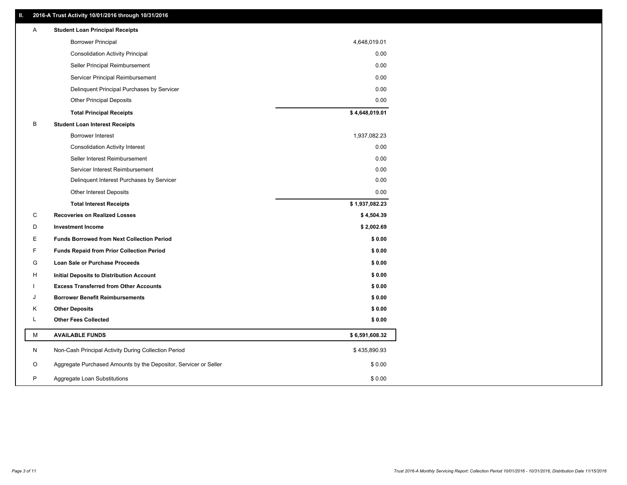# **II. 2016-A Trust Activity 10/01/2016 through 10/31/2016**

| Α | <b>Student Loan Principal Receipts</b>                           |                |
|---|------------------------------------------------------------------|----------------|
|   | <b>Borrower Principal</b>                                        | 4,648,019.01   |
|   | <b>Consolidation Activity Principal</b>                          | 0.00           |
|   | Seller Principal Reimbursement                                   | 0.00           |
|   | Servicer Principal Reimbursement                                 | 0.00           |
|   | Delinquent Principal Purchases by Servicer                       | 0.00           |
|   | <b>Other Principal Deposits</b>                                  | 0.00           |
|   | <b>Total Principal Receipts</b>                                  | \$4,648,019.01 |
| B | <b>Student Loan Interest Receipts</b>                            |                |
|   | <b>Borrower Interest</b>                                         | 1,937,082.23   |
|   | <b>Consolidation Activity Interest</b>                           | 0.00           |
|   | Seller Interest Reimbursement                                    | 0.00           |
|   | Servicer Interest Reimbursement                                  | 0.00           |
|   | Delinquent Interest Purchases by Servicer                        | 0.00           |
|   | Other Interest Deposits                                          | 0.00           |
|   | <b>Total Interest Receipts</b>                                   | \$1,937,082.23 |
| C | <b>Recoveries on Realized Losses</b>                             | \$4,504.39     |
| D | <b>Investment Income</b>                                         | \$2,002.69     |
| E | <b>Funds Borrowed from Next Collection Period</b>                | \$0.00         |
| F | <b>Funds Repaid from Prior Collection Period</b>                 | \$0.00         |
| G | <b>Loan Sale or Purchase Proceeds</b>                            | \$0.00         |
| H | <b>Initial Deposits to Distribution Account</b>                  | \$0.00         |
|   | <b>Excess Transferred from Other Accounts</b>                    | \$0.00         |
| J | <b>Borrower Benefit Reimbursements</b>                           | \$0.00         |
| Κ | <b>Other Deposits</b>                                            | \$0.00         |
| L | <b>Other Fees Collected</b>                                      | \$0.00         |
| M | <b>AVAILABLE FUNDS</b>                                           | \$6,591,608.32 |
| N | Non-Cash Principal Activity During Collection Period             | \$435,890.93   |
| O |                                                                  |                |
|   | Aggregate Purchased Amounts by the Depositor, Servicer or Seller | \$0.00         |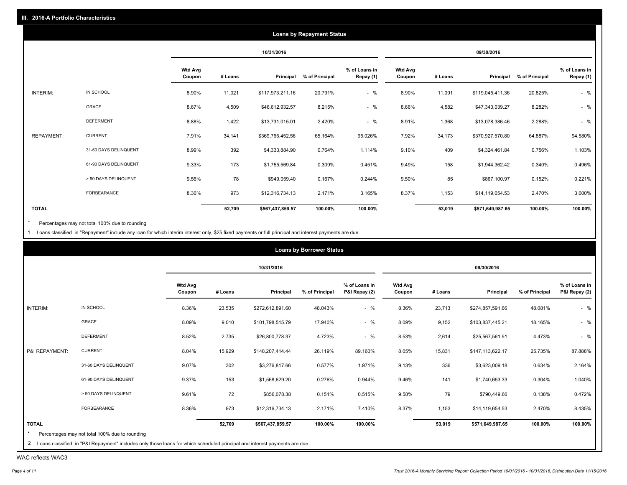|                   |                       |                          |         |                  | <b>Loans by Repayment Status</b> |                            |                          |         |                  |                |                            |
|-------------------|-----------------------|--------------------------|---------|------------------|----------------------------------|----------------------------|--------------------------|---------|------------------|----------------|----------------------------|
|                   |                       |                          |         | 10/31/2016       |                                  |                            |                          |         | 09/30/2016       |                |                            |
|                   |                       | <b>Wtd Avg</b><br>Coupon | # Loans | Principal        | % of Principal                   | % of Loans in<br>Repay (1) | <b>Wtd Avg</b><br>Coupon | # Loans | Principal        | % of Principal | % of Loans in<br>Repay (1) |
| INTERIM:          | IN SCHOOL             | 8.90%                    | 11,021  | \$117,973,211.16 | 20.791%                          | $-$ %                      | 8.90%                    | 11,091  | \$119,045,411.36 | 20.825%        | $-$ %                      |
|                   | GRACE                 | 8.67%                    | 4,509   | \$46,612,932.57  | 8.215%                           | $-$ %                      | 8.66%                    | 4,582   | \$47,343,039.27  | 8.282%         | $-$ %                      |
|                   | <b>DEFERMENT</b>      | 8.88%                    | 1,422   | \$13,731,015.01  | 2.420%                           | $-$ %                      | 8.91%                    | 1,368   | \$13,078,386.46  | 2.288%         | $-$ %                      |
| <b>REPAYMENT:</b> | <b>CURRENT</b>        | 7.91%                    | 34,141  | \$369,765,452.56 | 65.164%                          | 95.026%                    | 7.92%                    | 34,173  | \$370,927,570.80 | 64.887%        | 94.580%                    |
|                   | 31-60 DAYS DELINQUENT | 8.99%                    | 392     | \$4,333,884.90   | 0.764%                           | 1.114%                     | 9.10%                    | 409     | \$4,324,461.84   | 0.756%         | 1.103%                     |
|                   | 61-90 DAYS DELINQUENT | 9.33%                    | 173     | \$1,755,569.84   | 0.309%                           | 0.451%                     | 9.49%                    | 158     | \$1,944,362.42   | 0.340%         | 0.496%                     |
|                   | > 90 DAYS DELINQUENT  | 9.56%                    | 78      | \$949,059.40     | 0.167%                           | 0.244%                     | 9.50%                    | 85      | \$867,100.97     | 0.152%         | 0.221%                     |
|                   | FORBEARANCE           | 8.36%                    | 973     | \$12,316,734.13  | 2.171%                           | 3.165%                     | 8.37%                    | 1,153   | \$14,119,654.53  | 2.470%         | 3.600%                     |
| <b>TOTAL</b>      |                       |                          | 52,709  | \$567,437,859.57 | 100.00%                          | 100.00%                    |                          | 53,019  | \$571,649,987.65 | 100.00%        | 100.00%                    |

Percentages may not total 100% due to rounding  $^\star$ 

1 Loans classified in "Repayment" include any loan for which interim interest only, \$25 fixed payments or full principal and interest payments are due.

|                |                       |                          |         | 10/31/2016       |                |                                |                          |         | 09/30/2016       |                |                                |
|----------------|-----------------------|--------------------------|---------|------------------|----------------|--------------------------------|--------------------------|---------|------------------|----------------|--------------------------------|
|                |                       | <b>Wtd Avg</b><br>Coupon | # Loans | Principal        | % of Principal | % of Loans in<br>P&I Repay (2) | <b>Wtd Avg</b><br>Coupon | # Loans | Principal        | % of Principal | % of Loans in<br>P&I Repay (2) |
| INTERIM:       | IN SCHOOL             | 8.36%                    | 23,535  | \$272,612,891.60 | 48.043%        | $-$ %                          | 8.36%                    | 23,713  | \$274,857,591.66 | 48.081%        | $-$ %                          |
|                | GRACE                 | 8.09%                    | 9,010   | \$101,798,515.79 | 17.940%        | $-$ %                          | 8.09%                    | 9,152   | \$103,837,445.21 | 18.165%        | $-$ %                          |
|                | <b>DEFERMENT</b>      | 8.52%                    | 2,735   | \$26,800,778.37  | 4.723%         | $-$ %                          | 8.53%                    | 2,614   | \$25,567,561.91  | 4.473%         | $-$ %                          |
| P&I REPAYMENT: | <b>CURRENT</b>        | 8.04%                    | 15,929  | \$148,207,414.44 | 26.119%        | 89.160%                        | 8.05%                    | 15,831  | \$147,113,622.17 | 25.735%        | 87.888%                        |
|                | 31-60 DAYS DELINQUENT | 9.07%                    | 302     | \$3,276,817.66   | 0.577%         | 1.971%                         | 9.13%                    | 336     | \$3,623,009.18   | 0.634%         | 2.164%                         |
|                | 61-90 DAYS DELINQUENT | 9.37%                    | 153     | \$1,568,629.20   | 0.276%         | 0.944%                         | 9.46%                    | 141     | \$1,740,653.33   | 0.304%         | 1.040%                         |
|                | > 90 DAYS DELINQUENT  | 9.61%                    | 72      | \$856,078.38     | 0.151%         | 0.515%                         | 9.58%                    | 79      | \$790,449.66     | 0.138%         | 0.472%                         |
|                | FORBEARANCE           | 8.36%                    | 973     | \$12,316,734.13  | 2.171%         | 7.410%                         | 8.37%                    | 1,153   | \$14,119,654.53  | 2.470%         | 8.435%                         |
| <b>TOTAL</b>   |                       |                          | 52,709  | \$567,437,859.57 | 100.00%        | 100.00%                        |                          | 53,019  | \$571,649,987.65 | 100.00%        | 100.00%                        |

WAC reflects WAC3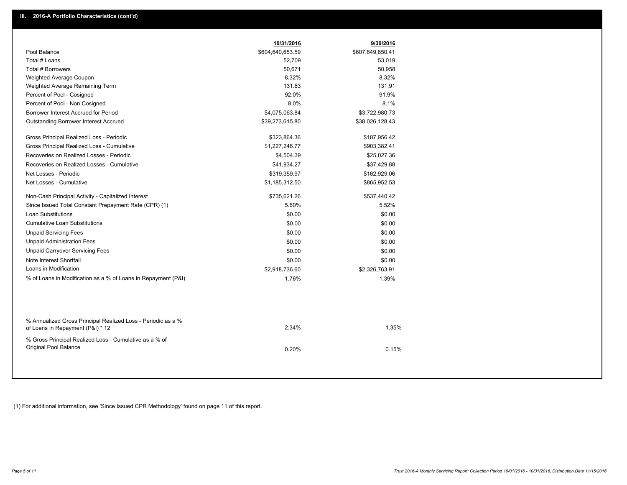|                                                                                                  | 10/31/2016       | 9/30/2016        |
|--------------------------------------------------------------------------------------------------|------------------|------------------|
| Pool Balance                                                                                     | \$604,640,653.59 | \$607,649,650.41 |
| Total # Loans                                                                                    | 52,709           | 53,019           |
| Total # Borrowers                                                                                | 50,671           | 50,958           |
| Weighted Average Coupon                                                                          | 8.32%            | 8.32%            |
| Weighted Average Remaining Term                                                                  | 131.63           | 131.91           |
| Percent of Pool - Cosigned                                                                       | 92.0%            | 91.9%            |
| Percent of Pool - Non Cosigned                                                                   | 8.0%             | 8.1%             |
| Borrower Interest Accrued for Period                                                             | \$4,075,063.84   | \$3,722,980.73   |
| Outstanding Borrower Interest Accrued                                                            | \$39,273,615.80  | \$38,026,128.43  |
| Gross Principal Realized Loss - Periodic                                                         | \$323,864.36     | \$187,956.42     |
| Gross Principal Realized Loss - Cumulative                                                       | \$1,227,246.77   | \$903,382.41     |
| Recoveries on Realized Losses - Periodic                                                         | \$4,504.39       | \$25,027.36      |
| Recoveries on Realized Losses - Cumulative                                                       | \$41,934.27      | \$37,429.88      |
| Net Losses - Periodic                                                                            | \$319,359.97     | \$162,929.06     |
| Net Losses - Cumulative                                                                          | \$1,185,312.50   | \$865,952.53     |
| Non-Cash Principal Activity - Capitalized Interest                                               | \$735,621.26     | \$537,440.42     |
| Since Issued Total Constant Prepayment Rate (CPR) (1)                                            | 5.60%            | 5.52%            |
| Loan Substitutions                                                                               | \$0.00           | \$0.00           |
| <b>Cumulative Loan Substitutions</b>                                                             | \$0.00           | \$0.00           |
| <b>Unpaid Servicing Fees</b>                                                                     | \$0.00           | \$0.00           |
| <b>Unpaid Administration Fees</b>                                                                | \$0.00           | \$0.00           |
| <b>Unpaid Carryover Servicing Fees</b>                                                           | \$0.00           | \$0.00           |
| Note Interest Shortfall                                                                          | \$0.00           | \$0.00           |
| Loans in Modification                                                                            | \$2,918,736.60   | \$2,326,763.91   |
| % of Loans in Modification as a % of Loans in Repayment (P&I)                                    | 1.76%            | 1.39%            |
|                                                                                                  |                  |                  |
| % Annualized Gross Principal Realized Loss - Periodic as a %<br>of Loans in Repayment (P&I) * 12 | 2.34%            | 1.35%            |
| % Gross Principal Realized Loss - Cumulative as a % of<br>Original Pool Balance                  | 0.20%            | 0.15%            |

(1) For additional information, see 'Since Issued CPR Methodology' found on page 11 of this report.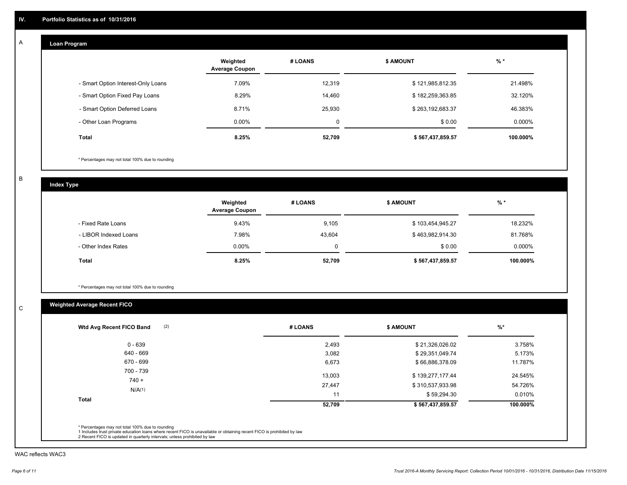#### **Loan Program**  A

|                                    | Weighted<br><b>Average Coupon</b> | # LOANS | <b>\$ AMOUNT</b> | $%$ *    |
|------------------------------------|-----------------------------------|---------|------------------|----------|
| - Smart Option Interest-Only Loans | 7.09%                             | 12,319  | \$121,985,812.35 | 21.498%  |
| - Smart Option Fixed Pay Loans     | 8.29%                             | 14,460  | \$182,259,363.85 | 32.120%  |
| - Smart Option Deferred Loans      | 8.71%                             | 25,930  | \$263,192,683.37 | 46.383%  |
| - Other Loan Programs              | $0.00\%$                          | 0       | \$0.00           | 0.000%   |
| <b>Total</b>                       | 8.25%                             | 52,709  | \$567,437,859.57 | 100.000% |

\* Percentages may not total 100% due to rounding

B

C

**Index Type**

|                       | Weighted<br><b>Average Coupon</b> | # LOANS | <b>\$ AMOUNT</b> | $%$ *     |
|-----------------------|-----------------------------------|---------|------------------|-----------|
| - Fixed Rate Loans    | 9.43%                             | 9,105   | \$103,454,945.27 | 18.232%   |
| - LIBOR Indexed Loans | 7.98%                             | 43,604  | \$463,982,914.30 | 81.768%   |
| - Other Index Rates   | $0.00\%$                          |         | \$0.00           | $0.000\%$ |
| <b>Total</b>          | 8.25%                             | 52,709  | \$567,437,859.57 | 100.000%  |

\* Percentages may not total 100% due to rounding

# **Weighted Average Recent FICO**

| 0 - 639      | 2,493  | \$21,326,026.02  | 3.758%   |
|--------------|--------|------------------|----------|
| 640 - 669    | 3,082  | \$29,351,049.74  | 5.173%   |
| 670 - 699    | 6,673  | \$66,886,378.09  | 11.787%  |
| 700 - 739    | 13,003 | \$139,277,177.44 | 24.545%  |
| $740 +$      | 27,447 | \$310,537,933.98 | 54.726%  |
| N/A(1)       | 11     | \$59,294.30      | 0.010%   |
| <b>Total</b> | 52,709 | \$567,437,859.57 | 100.000% |

WAC reflects WAC3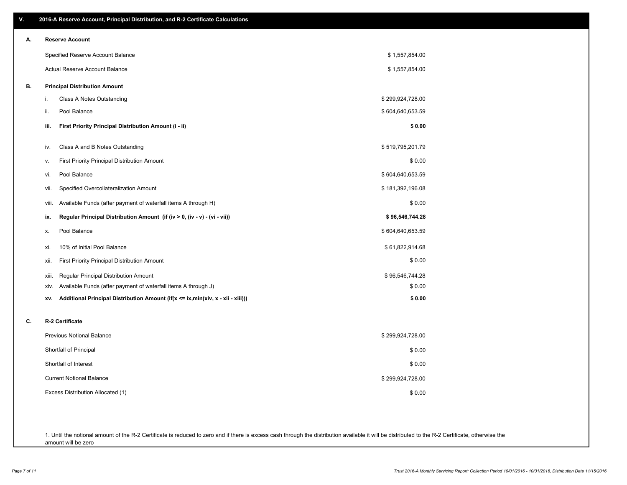| V. | 2016-A Reserve Account, Principal Distribution, and R-2 Certificate Calculations       |                  |
|----|----------------------------------------------------------------------------------------|------------------|
| А. | <b>Reserve Account</b>                                                                 |                  |
|    | Specified Reserve Account Balance                                                      | \$1,557,854.00   |
|    | Actual Reserve Account Balance                                                         | \$1,557,854.00   |
| В. | <b>Principal Distribution Amount</b>                                                   |                  |
|    | Class A Notes Outstanding<br>j.                                                        | \$299,924,728.00 |
|    | Pool Balance<br>ii.                                                                    | \$604,640,653.59 |
|    | First Priority Principal Distribution Amount (i - ii)<br>iii.                          | \$0.00           |
|    | Class A and B Notes Outstanding<br>iv.                                                 | \$519,795,201.79 |
|    | First Priority Principal Distribution Amount<br>v.                                     | \$0.00           |
|    | Pool Balance<br>vi.                                                                    | \$604,640,653.59 |
|    | Specified Overcollateralization Amount<br>vii.                                         | \$181,392,196.08 |
|    | Available Funds (after payment of waterfall items A through H)<br>viii.                | \$0.00           |
|    | Regular Principal Distribution Amount (if (iv > 0, (iv - v) - (vi - vii))<br>ix.       | \$96,546,744.28  |
|    | Pool Balance<br>Х.                                                                     | \$604,640,653.59 |
|    | 10% of Initial Pool Balance<br>xi.                                                     | \$61,822,914.68  |
|    | First Priority Principal Distribution Amount<br>xii.                                   | \$0.00           |
|    | Regular Principal Distribution Amount<br>xiii.                                         | \$96,546,744.28  |
|    | Available Funds (after payment of waterfall items A through J)<br>XIV.                 | \$0.00           |
|    | Additional Principal Distribution Amount (if(x <= ix,min(xiv, x - xii - xiii)))<br>XV. | \$0.00           |
| c. | R-2 Certificate                                                                        |                  |
|    | <b>Previous Notional Balance</b>                                                       | \$299,924,728.00 |
|    | Shortfall of Principal                                                                 | \$0.00           |
|    | Shortfall of Interest                                                                  | \$0.00           |
|    | <b>Current Notional Balance</b>                                                        | \$299,924,728.00 |
|    | Excess Distribution Allocated (1)                                                      | \$0.00           |
|    |                                                                                        |                  |
|    |                                                                                        |                  |

1. Until the notional amount of the R-2 Certificate is reduced to zero and if there is excess cash through the distribution available it will be distributed to the R-2 Certificate, otherwise the amount will be zero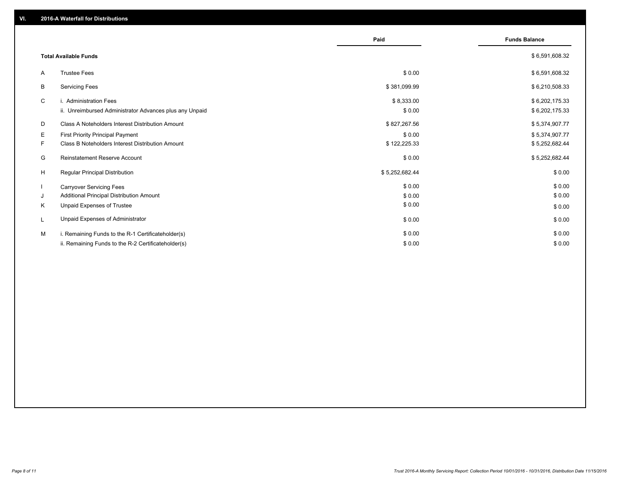|    |                                                         | Paid           | <b>Funds Balance</b> |
|----|---------------------------------------------------------|----------------|----------------------|
|    | <b>Total Available Funds</b>                            |                | \$6,591,608.32       |
| A  | <b>Trustee Fees</b>                                     | \$0.00         | \$6,591,608.32       |
| B  | <b>Servicing Fees</b>                                   | \$381,099.99   | \$6,210,508.33       |
| C  | i. Administration Fees                                  | \$8,333.00     | \$6,202,175.33       |
|    | ii. Unreimbursed Administrator Advances plus any Unpaid | \$0.00         | \$6,202,175.33       |
| D  | Class A Noteholders Interest Distribution Amount        | \$827,267.56   | \$5,374,907.77       |
| Е  | <b>First Priority Principal Payment</b>                 | \$0.00         | \$5,374,907.77       |
| F. | Class B Noteholders Interest Distribution Amount        | \$122,225.33   | \$5,252,682.44       |
| G  | Reinstatement Reserve Account                           | \$0.00         | \$5,252,682.44       |
| H  | <b>Regular Principal Distribution</b>                   | \$5,252,682.44 | \$0.00               |
|    | <b>Carryover Servicing Fees</b>                         | \$0.00         | \$0.00               |
| J  | Additional Principal Distribution Amount                | \$0.00         | \$0.00               |
| K  | Unpaid Expenses of Trustee                              | \$0.00         | \$0.00               |
|    | Unpaid Expenses of Administrator                        | \$0.00         | \$0.00               |
| м  | i. Remaining Funds to the R-1 Certificateholder(s)      | \$0.00         | \$0.00               |
|    | ii. Remaining Funds to the R-2 Certificateholder(s)     | \$0.00         | \$0.00               |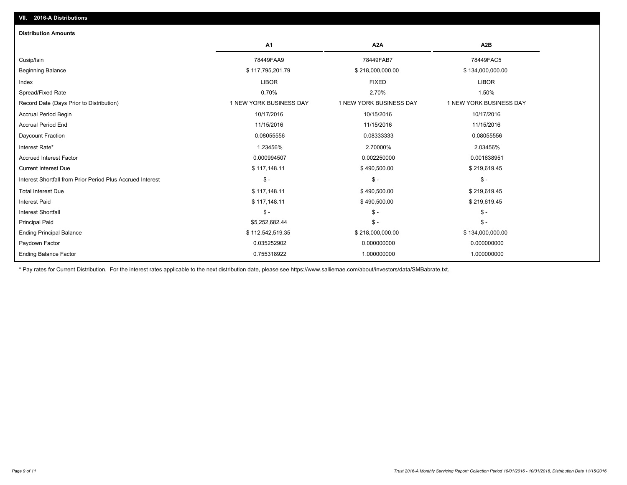| <b>Distribution Amounts</b>                                |                         |                         |                         |
|------------------------------------------------------------|-------------------------|-------------------------|-------------------------|
|                                                            | A1                      | A <sub>2</sub> A        | A <sub>2</sub> B        |
| Cusip/Isin                                                 | 78449FAA9               | 78449FAB7               | 78449FAC5               |
| <b>Beginning Balance</b>                                   | \$117,795,201.79        | \$218,000,000.00        | \$134,000,000.00        |
| Index                                                      | <b>LIBOR</b>            | <b>FIXED</b>            | <b>LIBOR</b>            |
| Spread/Fixed Rate                                          | 0.70%                   | 2.70%                   | 1.50%                   |
| Record Date (Days Prior to Distribution)                   | 1 NEW YORK BUSINESS DAY | 1 NEW YORK BUSINESS DAY | 1 NEW YORK BUSINESS DAY |
| <b>Accrual Period Begin</b>                                | 10/17/2016              | 10/15/2016              | 10/17/2016              |
| <b>Accrual Period End</b>                                  | 11/15/2016              | 11/15/2016              | 11/15/2016              |
| Daycount Fraction                                          | 0.08055556              | 0.08333333              | 0.08055556              |
| Interest Rate*                                             | 1.23456%                | 2.70000%                | 2.03456%                |
| <b>Accrued Interest Factor</b>                             | 0.000994507             | 0.002250000             | 0.001638951             |
| <b>Current Interest Due</b>                                | \$117,148.11            | \$490,500.00            | \$219,619.45            |
| Interest Shortfall from Prior Period Plus Accrued Interest | $\mathsf{\$}$ -         | $\frac{1}{2}$           | $\mathsf{\$}$ -         |
| <b>Total Interest Due</b>                                  | \$117,148.11            | \$490,500.00            | \$219,619.45            |
| <b>Interest Paid</b>                                       | \$117,148.11            | \$490,500.00            | \$219,619.45            |
| <b>Interest Shortfall</b>                                  | $\frac{2}{3}$ -         | $\mathsf{\$}$ -         | $\frac{2}{3}$ -         |
| <b>Principal Paid</b>                                      | \$5,252,682.44          | $\frac{2}{3}$ -         | $\mathsf{\$}$ -         |
| <b>Ending Principal Balance</b>                            | \$112,542,519.35        | \$218,000,000.00        | \$134,000,000.00        |
| Paydown Factor                                             | 0.035252902             | 0.000000000             | 0.000000000             |
| <b>Ending Balance Factor</b>                               | 0.755318922             | 1.000000000             | 1.000000000             |

\* Pay rates for Current Distribution. For the interest rates applicable to the next distribution date, please see https://www.salliemae.com/about/investors/data/SMBabrate.txt.

**VII. 2016-A Distributions**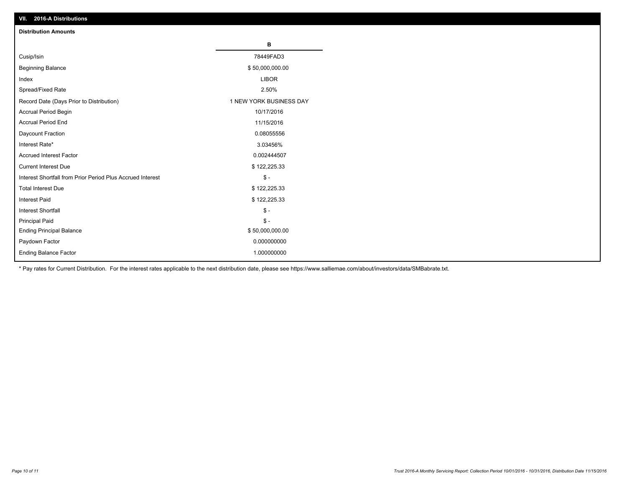| VII. ZU 10-A DISTIDUTIONS                                  |                         |
|------------------------------------------------------------|-------------------------|
| <b>Distribution Amounts</b>                                |                         |
|                                                            | в                       |
| Cusip/Isin                                                 | 78449FAD3               |
| <b>Beginning Balance</b>                                   | \$50,000,000.00         |
| Index                                                      | <b>LIBOR</b>            |
| Spread/Fixed Rate                                          | 2.50%                   |
| Record Date (Days Prior to Distribution)                   | 1 NEW YORK BUSINESS DAY |
| Accrual Period Begin                                       | 10/17/2016              |
| <b>Accrual Period End</b>                                  | 11/15/2016              |
| Daycount Fraction                                          | 0.08055556              |
| Interest Rate*                                             | 3.03456%                |
| <b>Accrued Interest Factor</b>                             | 0.002444507             |
| <b>Current Interest Due</b>                                | \$122,225.33            |
| Interest Shortfall from Prior Period Plus Accrued Interest | $\frac{2}{3}$ -         |
| <b>Total Interest Due</b>                                  | \$122,225.33            |
| <b>Interest Paid</b>                                       | \$122,225.33            |
| <b>Interest Shortfall</b>                                  | $$ -$                   |
| <b>Principal Paid</b>                                      | $\frac{2}{3}$ -         |
| <b>Ending Principal Balance</b>                            | \$50,000,000.00         |
| Paydown Factor                                             | 0.000000000             |
| <b>Ending Balance Factor</b>                               | 1.000000000             |

\* Pay rates for Current Distribution. For the interest rates applicable to the next distribution date, please see https://www.salliemae.com/about/investors/data/SMBabrate.txt.

**VII. 2016-A Distributions**